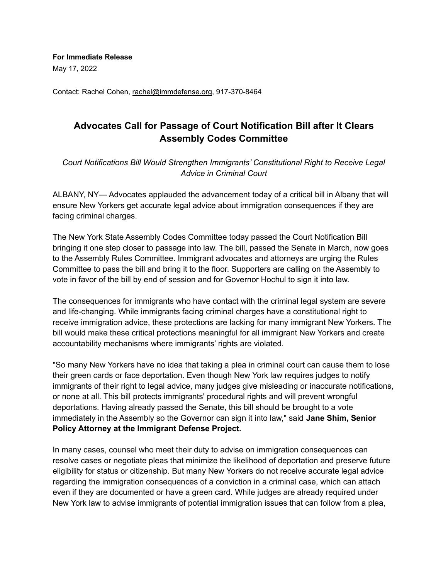**For Immediate Release** May 17, 2022

Contact: Rachel Cohen, rachel@immdefense.org, 917-370-8464

## **Advocates Call for Passage of Court Notification Bill after It Clears Assembly Codes Committee**

*Court Notifications Bill Would Strengthen Immigrants' Constitutional Right to Receive Legal Advice in Criminal Court*

ALBANY, NY— Advocates applauded the advancement today of a critical bill in Albany that will ensure New Yorkers get accurate legal advice about immigration consequences if they are facing criminal charges.

The New York State Assembly Codes Committee today passed the Court Notification Bill bringing it one step closer to passage into law. The bill, passed the Senate in March, now goes to the Assembly Rules Committee. Immigrant advocates and attorneys are urging the Rules Committee to pass the bill and bring it to the floor. Supporters are calling on the Assembly to vote in favor of the bill by end of session and for Governor Hochul to sign it into law.

The consequences for immigrants who have contact with the criminal legal system are severe and life-changing. While immigrants facing criminal charges have a constitutional right to receive immigration advice, these protections are lacking for many immigrant New Yorkers. The bill would make these critical protections meaningful for all immigrant New Yorkers and create accountability mechanisms where immigrants' rights are violated.

"So many New Yorkers have no idea that taking a plea in criminal court can cause them to lose their green cards or face deportation. Even though New York law requires judges to notify immigrants of their right to legal advice, many judges give misleading or inaccurate notifications, or none at all. This bill protects immigrants' procedural rights and will prevent wrongful deportations. Having already passed the Senate, this bill should be brought to a vote immediately in the Assembly so the Governor can sign it into law," said **Jane Shim, Senior Policy Attorney at the Immigrant Defense Project.**

In many cases, counsel who meet their duty to advise on immigration consequences can resolve cases or negotiate pleas that minimize the likelihood of deportation and preserve future eligibility for status or citizenship. But many New Yorkers do not receive accurate legal advice regarding the immigration consequences of a conviction in a criminal case, which can attach even if they are documented or have a green card. While judges are already required under New York law to advise immigrants of potential immigration issues that can follow from a plea,